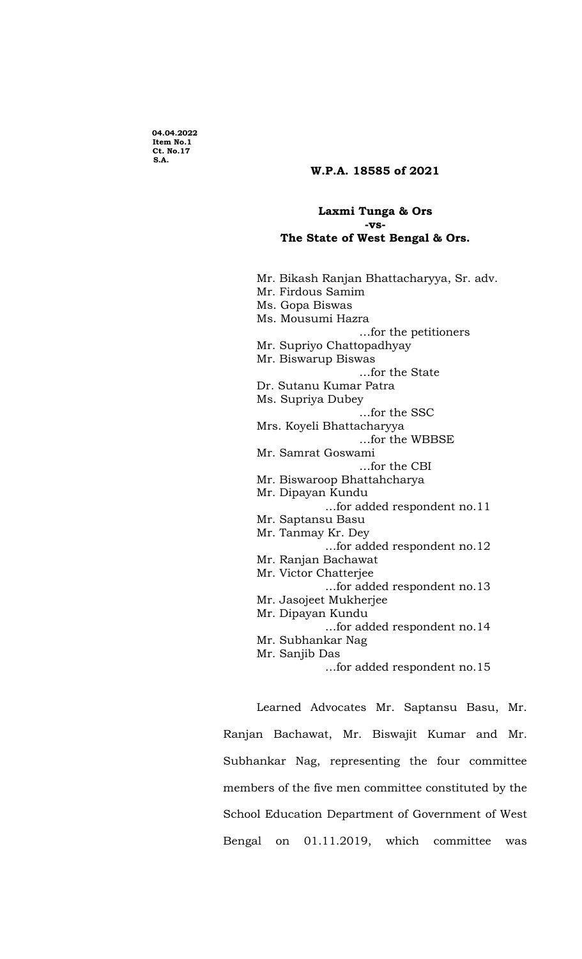**04.04.2022 Item No.1 Ct. No.17 S.A.** 

## **W.P.A. 18585 of 2021**

## **Laxmi Tunga & Ors -vs-The State of West Bengal & Ors.**

Mr. Bikash Ranjan Bhattacharyya, Sr. adv. Mr. Firdous Samim Ms. Gopa Biswas Ms. Mousumi Hazra …for the petitioners Mr. Supriyo Chattopadhyay Mr. Biswarup Biswas …for the State Dr. Sutanu Kumar Patra Ms. Supriya Dubey …for the SSC Mrs. Koyeli Bhattacharyya …for the WBBSE Mr. Samrat Goswami …for the CBI Mr. Biswaroop Bhattahcharya Mr. Dipayan Kundu …for added respondent no.11 Mr. Saptansu Basu Mr. Tanmay Kr. Dey …for added respondent no.12 Mr. Ranjan Bachawat Mr. Victor Chatterjee …for added respondent no.13 Mr. Jasojeet Mukherjee Mr. Dipayan Kundu …for added respondent no.14 Mr. Subhankar Nag Mr. Sanjib Das …for added respondent no.15

Learned Advocates Mr. Saptansu Basu, Mr. Ranjan Bachawat, Mr. Biswajit Kumar and Mr. Subhankar Nag, representing the four committee members of the five men committee constituted by the School Education Department of Government of West Bengal on 01.11.2019, which committee was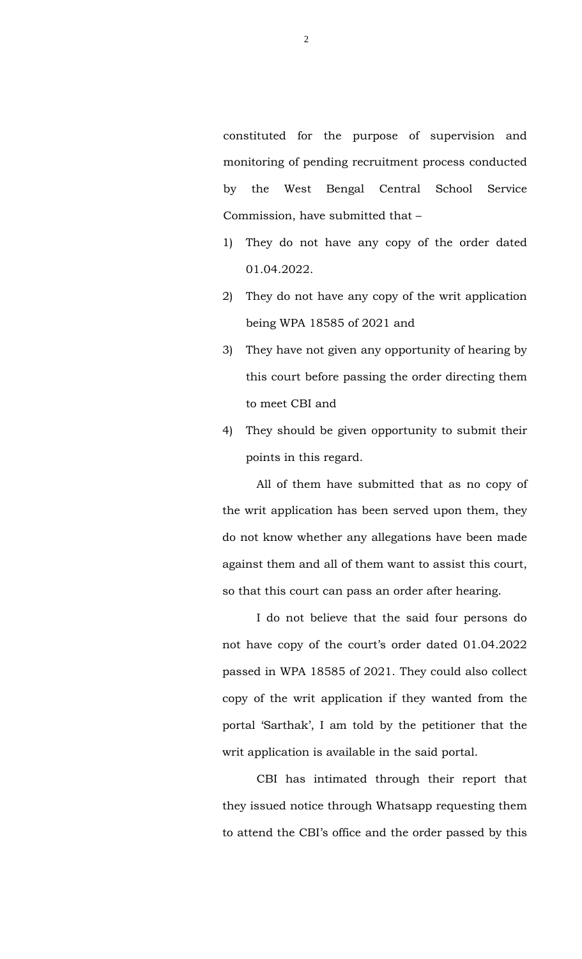constituted for the purpose of supervision and monitoring of pending recruitment process conducted by the West Bengal Central School Service Commission, have submitted that –

- 1) They do not have any copy of the order dated 01.04.2022.
- 2) They do not have any copy of the writ application being WPA 18585 of 2021 and
- 3) They have not given any opportunity of hearing by this court before passing the order directing them to meet CBI and
- 4) They should be given opportunity to submit their points in this regard.

All of them have submitted that as no copy of the writ application has been served upon them, they do not know whether any allegations have been made against them and all of them want to assist this court, so that this court can pass an order after hearing.

I do not believe that the said four persons do not have copy of the court's order dated 01.04.2022 passed in WPA 18585 of 2021. They could also collect copy of the writ application if they wanted from the portal 'Sarthak', I am told by the petitioner that the writ application is available in the said portal.

CBI has intimated through their report that they issued notice through Whatsapp requesting them to attend the CBI's office and the order passed by this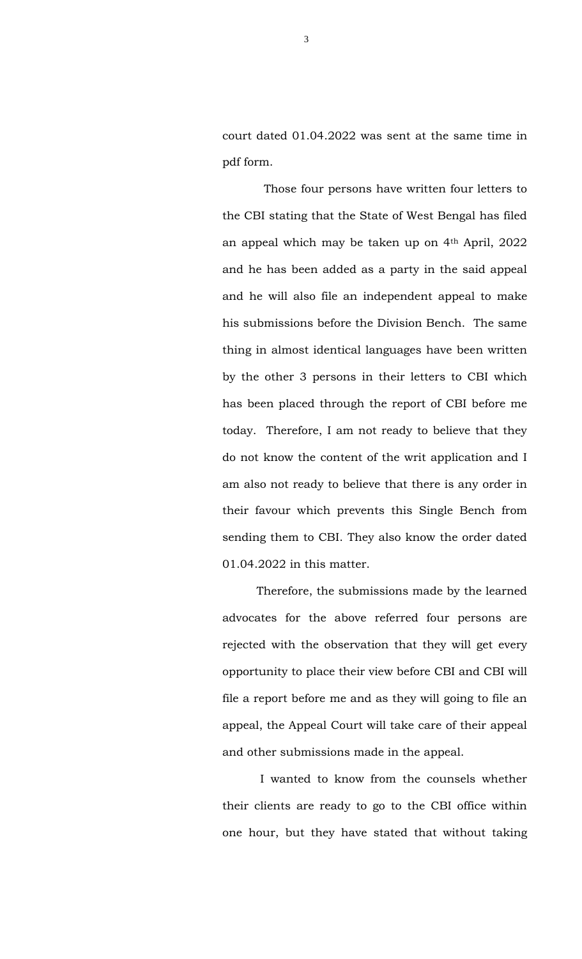court dated 01.04.2022 was sent at the same time in pdf form.

 Those four persons have written four letters to the CBI stating that the State of West Bengal has filed an appeal which may be taken up on 4th April, 2022 and he has been added as a party in the said appeal and he will also file an independent appeal to make his submissions before the Division Bench. The same thing in almost identical languages have been written by the other 3 persons in their letters to CBI which has been placed through the report of CBI before me today. Therefore, I am not ready to believe that they do not know the content of the writ application and I am also not ready to believe that there is any order in their favour which prevents this Single Bench from sending them to CBI. They also know the order dated 01.04.2022 in this matter.

Therefore, the submissions made by the learned advocates for the above referred four persons are rejected with the observation that they will get every opportunity to place their view before CBI and CBI will file a report before me and as they will going to file an appeal, the Appeal Court will take care of their appeal and other submissions made in the appeal.

I wanted to know from the counsels whether their clients are ready to go to the CBI office within one hour, but they have stated that without taking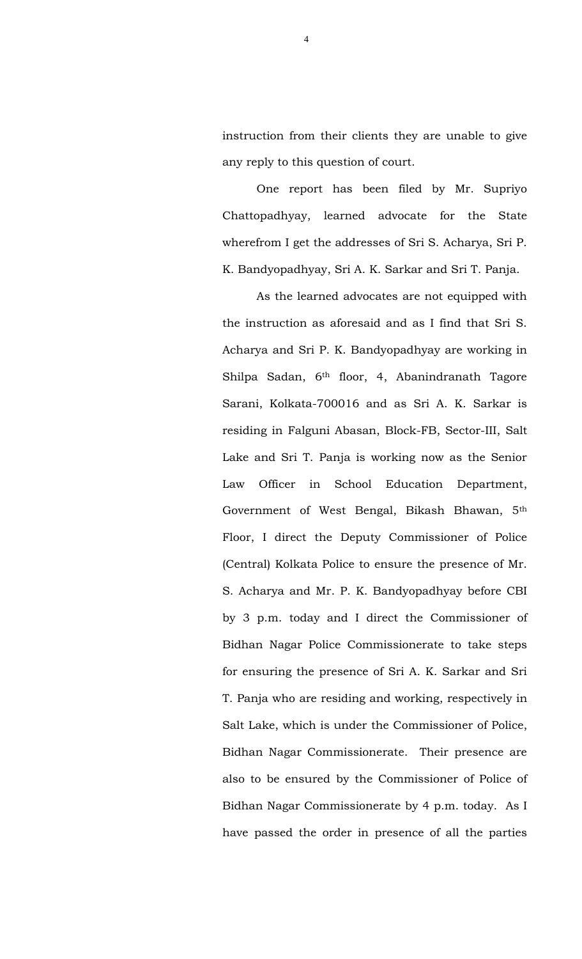instruction from their clients they are unable to give any reply to this question of court.

One report has been filed by Mr. Supriyo Chattopadhyay, learned advocate for the State wherefrom I get the addresses of Sri S. Acharya, Sri P. K. Bandyopadhyay, Sri A. K. Sarkar and Sri T. Panja.

As the learned advocates are not equipped with the instruction as aforesaid and as I find that Sri S. Acharya and Sri P. K. Bandyopadhyay are working in Shilpa Sadan, 6th floor, 4, Abanindranath Tagore Sarani, Kolkata-700016 and as Sri A. K. Sarkar is residing in Falguni Abasan, Block-FB, Sector-III, Salt Lake and Sri T. Panja is working now as the Senior Law Officer in School Education Department, Government of West Bengal, Bikash Bhawan, 5th Floor, I direct the Deputy Commissioner of Police (Central) Kolkata Police to ensure the presence of Mr. S. Acharya and Mr. P. K. Bandyopadhyay before CBI by 3 p.m. today and I direct the Commissioner of Bidhan Nagar Police Commissionerate to take steps for ensuring the presence of Sri A. K. Sarkar and Sri T. Panja who are residing and working, respectively in Salt Lake, which is under the Commissioner of Police, Bidhan Nagar Commissionerate. Their presence are also to be ensured by the Commissioner of Police of Bidhan Nagar Commissionerate by 4 p.m. today. As I have passed the order in presence of all the parties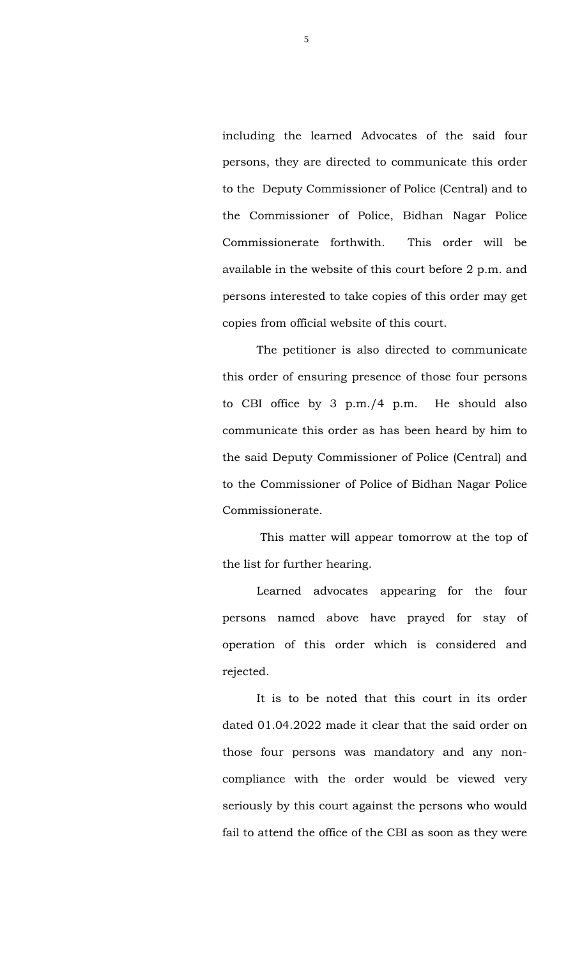including the learned Advocates of the said four persons, they are directed to communicate this order to the Deputy Commissioner of Police (Central) and to the Commissioner of Police, Bidhan Nagar Police Commissionerate forthwith. This order will be available in the website of this court before 2 p.m. and persons interested to take copies of this order may get copies from official website of this court.

The petitioner is also directed to communicate this order of ensuring presence of those four persons to CBI office by 3 p.m./4 p.m. He should also communicate this order as has been heard by him to the said Deputy Commissioner of Police (Central) and to the Commissioner of Police of Bidhan Nagar Police Commissionerate.

This matter will appear tomorrow at the top of the list for further hearing.

Learned advocates appearing for the four persons named above have prayed for stay of operation of this order which is considered and rejected.

It is to be noted that this court in its order dated 01.04.2022 made it clear that the said order on those four persons was mandatory and any noncompliance with the order would be viewed very seriously by this court against the persons who would fail to attend the office of the CBI as soon as they were